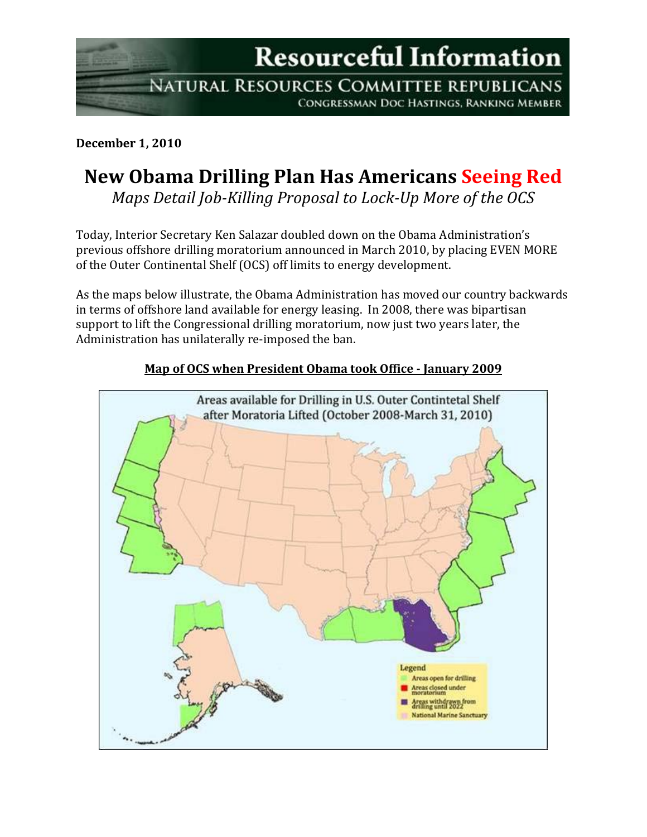**Resourceful Information** 

NATURAL RESOURCES COMMITTEE REPUBLICANS **CONGRESSMAN DOC HASTINGS, RANKING MEMBER** 

**December 1, 2010**

## **New Obama Drilling Plan Has Americans Seeing Red**

*Maps Detail Job-Killing Proposal to Lock-Up More of the OCS* 

Today, Interior Secretary Ken Salazar doubled down on the Obama Administration's previous offshore drilling moratorium announced in March 2010, by placing EVEN MORE of the Outer Continental Shelf (OCS) off limits to energy development.

As the maps below illustrate, the Obama Administration has moved our country backwards in terms of offshore land available for energy leasing. In 2008, there was bipartisan support to lift the Congressional drilling moratorium, now just two years later, the Administration has unilaterally re-imposed the ban.



## **Map of OCS when President Obama took Office - January 2009**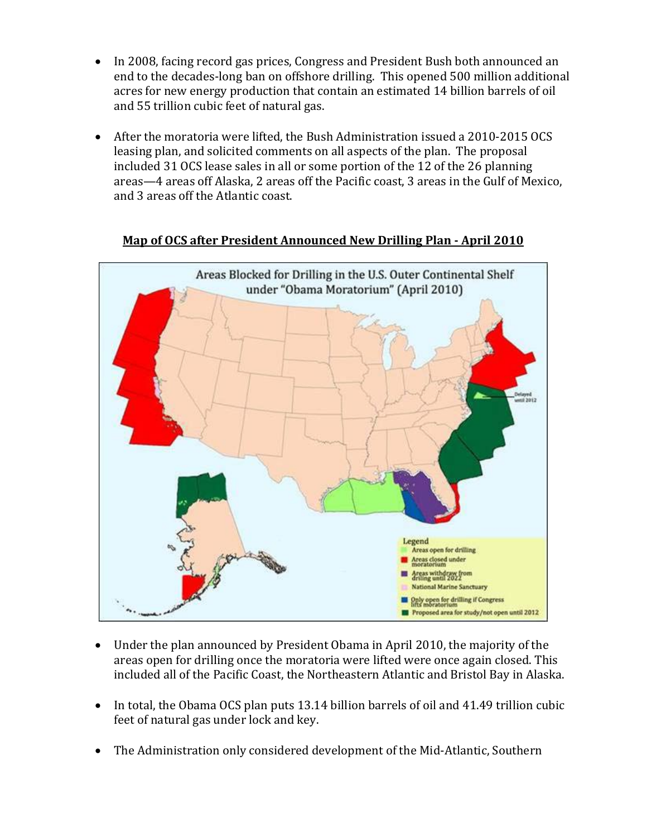- In 2008, facing record gas prices, Congress and President Bush both announced an end to the decades-long ban on offshore drilling. This opened 500 million additional acres for new energy production that contain an estimated 14 billion barrels of oil and 55 trillion cubic feet of natural gas.
- After the moratoria were lifted, the Bush Administration issued a 2010-2015 OCS leasing plan, and solicited comments on all aspects of the plan. The proposal included 31 OCS lease sales in all or some portion of the 12 of the 26 planning areas—4 areas off Alaska, 2 areas off the Pacific coast, 3 areas in the Gulf of Mexico, and 3 areas off the Atlantic coast.



**Map of OCS after President Announced New Drilling Plan - April 2010**

- Under the plan announced by President Obama in April 2010, the majority of the areas open for drilling once the moratoria were lifted were once again closed. This included all of the Pacific Coast, the Northeastern Atlantic and Bristol Bay in Alaska.
- In total, the Obama OCS plan puts 13.14 billion barrels of oil and 41.49 trillion cubic feet of natural gas under lock and key.
- The Administration only considered development of the Mid-Atlantic, Southern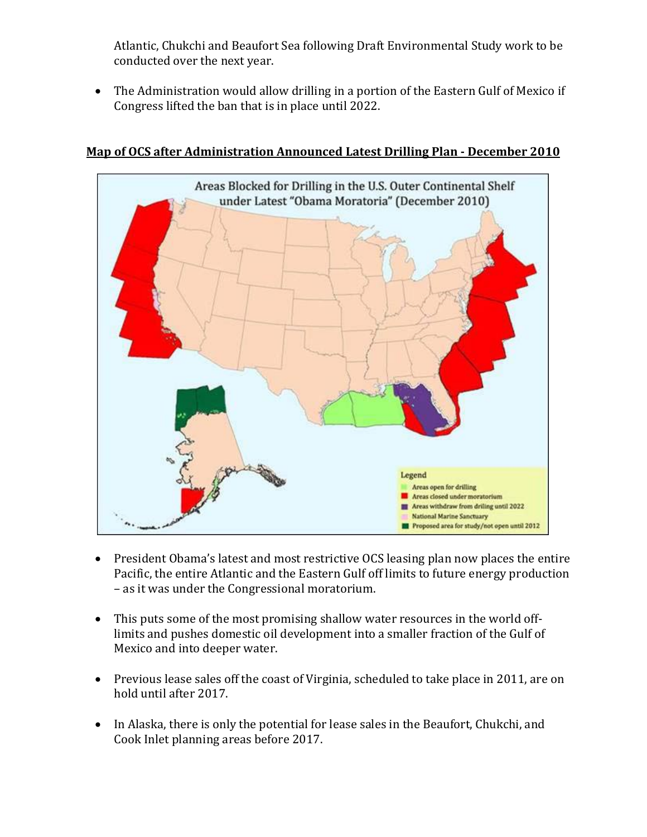Atlantic, Chukchi and Beaufort Sea following Draft Environmental Study work to be conducted over the next year.

• The Administration would allow drilling in a portion of the Eastern Gulf of Mexico if Congress lifted the ban that is in place until 2022.



## **Map of OCS after Administration Announced Latest Drilling Plan - December 2010**

- President Obama's latest and most restrictive OCS leasing plan now places the entire Pacific, the entire Atlantic and the Eastern Gulf off limits to future energy production – as it was under the Congressional moratorium.
- This puts some of the most promising shallow water resources in the world offlimits and pushes domestic oil development into a smaller fraction of the Gulf of Mexico and into deeper water.
- Previous lease sales off the coast of Virginia, scheduled to take place in 2011, are on hold until after 2017.
- In Alaska, there is only the potential for lease sales in the Beaufort, Chukchi, and Cook Inlet planning areas before 2017.